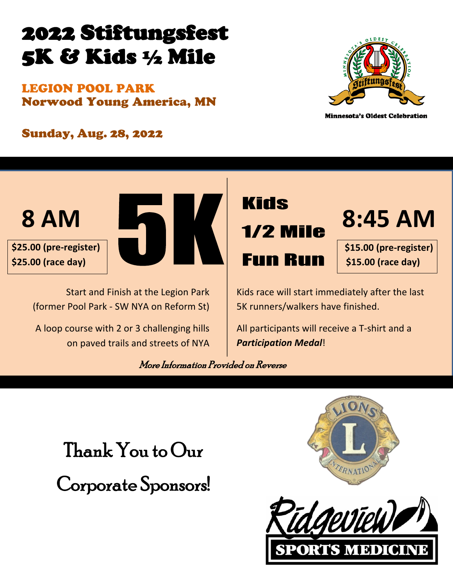# 2022 Stiftungsfest 5K & Kids ½ Mile

LEGION POOL PARK Norwood Young America, MN



**Minnesota's Oldest Celebration** 

Sunday, Aug. 28, 2022





Start and Finish at the Legion Park (former Pool Park - SW NYA on Reform St)

A loop course with 2 or 3 challenging hills on paved trails and streets of NYA



**8:45 AM**

**\$15.00 (pre-register) \$15.00 (race day)**

Kids race will start immediately after the last 5K runners/walkers have finished.

All participants will receive a T-shirt and a *Participation Medal*!

More Information Provided on Reverse

Thank You to Our Corporate Sponsors!